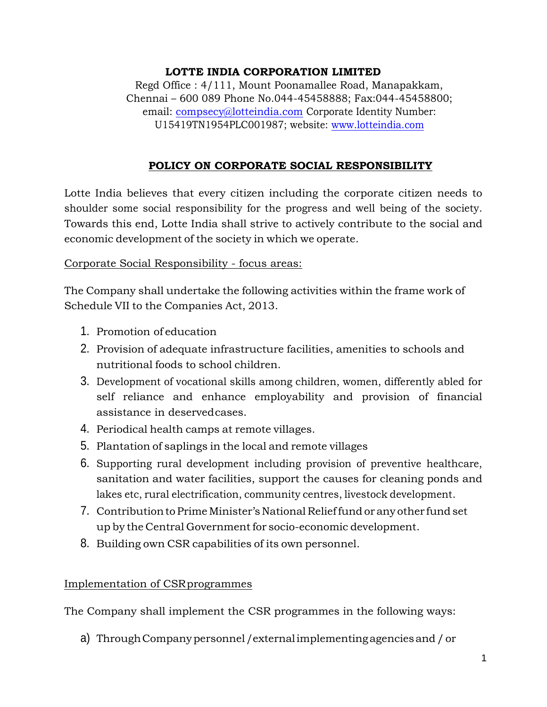#### **LOTTE INDIA CORPORATION LIMITED**

Regd Office : 4/111, Mount Poonamallee Road, Manapakkam, Chennai – 600 089 Phone No.044-45458888; Fax:044-45458800; email: [compsecy@lotteindia.com](mailto:compsecy@lotteindia.com) Corporate Identity Number: U15419TN1954PLC001987; website: [www.lotteindia.com](http://www.lotteindia.com/)

## **POLICY ON CORPORATE SOCIAL RESPONSIBILITY**

Lotte India believes that every citizen including the corporate citizen needs to shoulder some social responsibility for the progress and well being of the society. Towards this end, Lotte India shall strive to actively contribute to the social and economic development of the society in which we operate.

### Corporate Social Responsibility - focus areas:

The Company shall undertake the following activities within the frame work of Schedule VII to the Companies Act, 2013.

- 1. Promotion of education
- 2. Provision of adequate infrastructure facilities, amenities to schools and nutritional foods to school children.
- 3. Development of vocational skills among children, women, differently abled for self reliance and enhance employability and provision of financial assistance in deservedcases.
- 4. Periodical health camps at remote villages.
- 5. Plantation of saplings in the local and remote villages
- 6. Supporting rural development including provision of preventive healthcare, sanitation and water facilities, support the causes for cleaning ponds and lakes etc, rural electrification, community centres, livestock development.
- 7. Contribution to Prime Minister's National Relief fund or any other fund set up by the Central Government for socio-economic development.
- 8. Building own CSR capabilities of its own personnel.

#### Implementation of CSRprogrammes

The Company shall implement the CSR programmes in the following ways:

a) Through Company personnel/external implementing agencies and / or